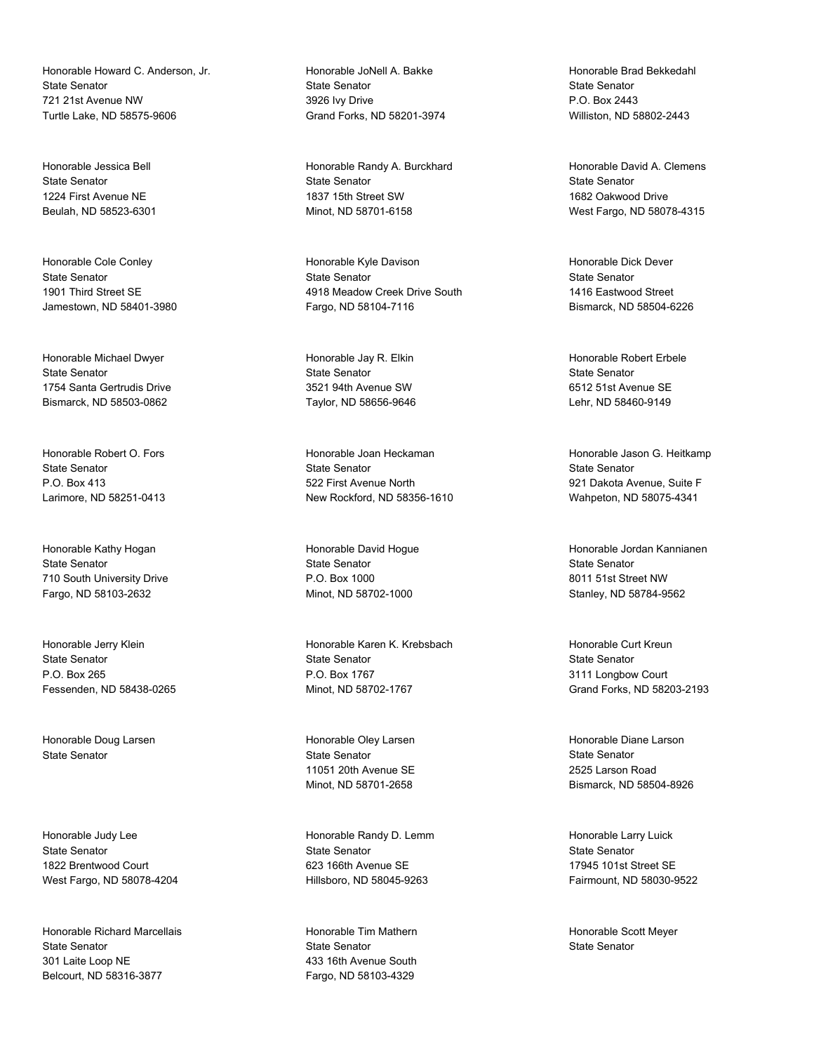Honorable Howard C. Anderson, Jr. State Senator 721 21st Avenue NW Turtle Lake, ND 58575-9606

Honorable Jessica Bell State Senator 1224 First Avenue NE Beulah, ND 58523-6301

Honorable Cole Conley State Senator 1901 Third Street SE Jamestown, ND 58401-3980

Honorable Michael Dwyer State Senator 1754 Santa Gertrudis Drive Bismarck, ND 58503-0862

Honorable Robert O. Fors State Senator P.O. Box 413 Larimore, ND 58251-0413

Honorable Kathy Hogan State Senator 710 South University Drive Fargo, ND 58103-2632

Honorable Jerry Klein State Senator P.O. Box 265 Fessenden, ND 58438-0265

Honorable Doug Larsen State Senator

Honorable Judy Lee State Senator 1822 Brentwood Court West Fargo, ND 58078-4204

Honorable Richard Marcellais State Senator 301 Laite Loop NE Belcourt, ND 58316-3877

Honorable JoNell A. Bakke State Senator 3926 Ivy Drive Grand Forks, ND 58201-3974

Honorable Randy A. Burckhard State Senator 1837 15th Street SW Minot, ND 58701-6158

Honorable Kyle Davison State Senator 4918 Meadow Creek Drive South Fargo, ND 58104-7116

Honorable Jay R. Elkin State Senator 3521 94th Avenue SW Taylor, ND 58656-9646

Honorable Joan Heckaman State Senator 522 First Avenue North New Rockford, ND 58356-1610

Honorable David Hogue State Senator P.O. Box 1000 Minot, ND 58702-1000

Honorable Karen K. Krebsbach State Senator P.O. Box 1767 Minot, ND 58702-1767

Honorable Oley Larsen State Senator 11051 20th Avenue SE Minot, ND 58701-2658

Honorable Randy D. Lemm State Senator 623 166th Avenue SE Hillsboro, ND 58045-9263

Honorable Tim Mathern State Senator 433 16th Avenue South Fargo, ND 58103-4329

Honorable Brad Bekkedahl State Senator P.O. Box 2443 Williston, ND 58802-2443

Honorable David A. Clemens State Senator 1682 Oakwood Drive West Fargo, ND 58078-4315

Honorable Dick Dever State Senator 1416 Eastwood Street Bismarck, ND 58504-6226

Honorable Robert Erbele State Senator 6512 51st Avenue SE Lehr, ND 58460-9149

Honorable Jason G. Heitkamp State Senator 921 Dakota Avenue, Suite F Wahpeton, ND 58075-4341

Honorable Jordan Kannianen State Senator 8011 51st Street NW Stanley, ND 58784-9562

Honorable Curt Kreun State Senator 3111 Longbow Court Grand Forks, ND 58203-2193

Honorable Diane Larson State Senator 2525 Larson Road Bismarck, ND 58504-8926

Honorable Larry Luick State Senator 17945 101st Street SE Fairmount, ND 58030-9522

Honorable Scott Meyer State Senator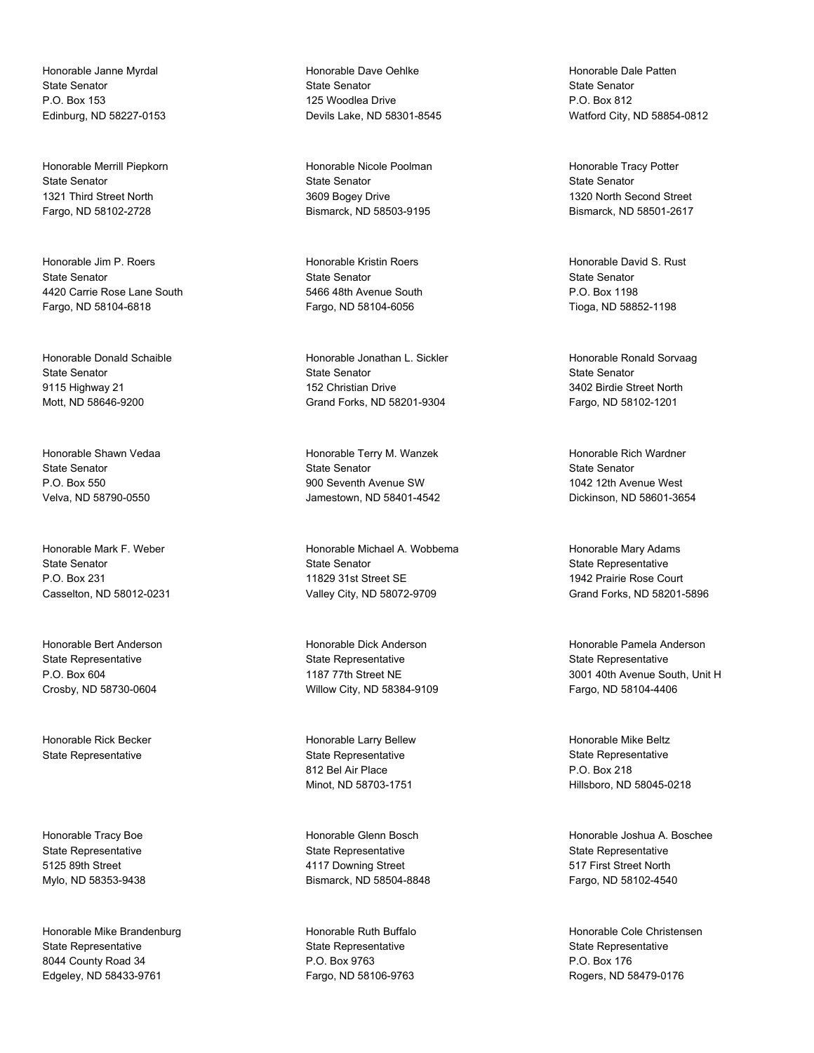Honorable Janne Myrdal State Senator P.O. Box 153 Edinburg, ND 58227-0153

Honorable Merrill Piepkorn State Senator 1321 Third Street North Fargo, ND 58102-2728

Honorable Jim P. Roers State Senator 4420 Carrie Rose Lane South Fargo, ND 58104-6818

Honorable Donald Schaible State Senator 9115 Highway 21 Mott, ND 58646-9200

Honorable Shawn Vedaa State Senator P.O. Box 550 Velva, ND 58790-0550

Honorable Mark F. Weber State Senator P.O. Box 231 Casselton, ND 58012-0231

Honorable Bert Anderson State Representative P.O. Box 604 Crosby, ND 58730-0604

Honorable Rick Becker State Representative

Honorable Tracy Boe State Representative 5125 89th Street Mylo, ND 58353-9438

Honorable Mike Brandenburg State Representative 8044 County Road 34 Edgeley, ND 58433-9761

Honorable Dave Oehlke State Senator 125 Woodlea Drive Devils Lake, ND 58301-8545

Honorable Nicole Poolman State Senator 3609 Bogey Drive Bismarck, ND 58503-9195

Honorable Kristin Roers State Senator 5466 48th Avenue South Fargo, ND 58104-6056

Honorable Jonathan L. Sickler State Senator 152 Christian Drive Grand Forks, ND 58201-9304

Honorable Terry M. Wanzek State Senator 900 Seventh Avenue SW Jamestown, ND 58401-4542

Honorable Michael A. Wobbema State Senator 11829 31st Street SE Valley City, ND 58072-9709

Honorable Dick Anderson State Representative 1187 77th Street NE Willow City, ND 58384-9109

Honorable Larry Bellew State Representative 812 Bel Air Place Minot, ND 58703-1751

Honorable Glenn Bosch State Representative 4117 Downing Street Bismarck, ND 58504-8848

Honorable Ruth Buffalo State Representative P.O. Box 9763 Fargo, ND 58106-9763

Honorable Dale Patten State Senator P.O. Box 812 Watford City, ND 58854-0812

Honorable Tracy Potter State Senator 1320 North Second Street Bismarck, ND 58501-2617

Honorable David S. Rust State Senator P.O. Box 1198 Tioga, ND 58852-1198

Honorable Ronald Sorvaag State Senator 3402 Birdie Street North Fargo, ND 58102-1201

Honorable Rich Wardner State Senator 1042 12th Avenue West Dickinson, ND 58601-3654

Honorable Mary Adams State Representative 1942 Prairie Rose Court Grand Forks, ND 58201-5896

Honorable Pamela Anderson State Representative 3001 40th Avenue South, Unit H Fargo, ND 58104-4406

Honorable Mike Beltz State Representative P.O. Box 218 Hillsboro, ND 58045-0218

Honorable Joshua A. Boschee State Representative 517 First Street North Fargo, ND 58102-4540

Honorable Cole Christensen State Representative P.O. Box 176 Rogers, ND 58479-0176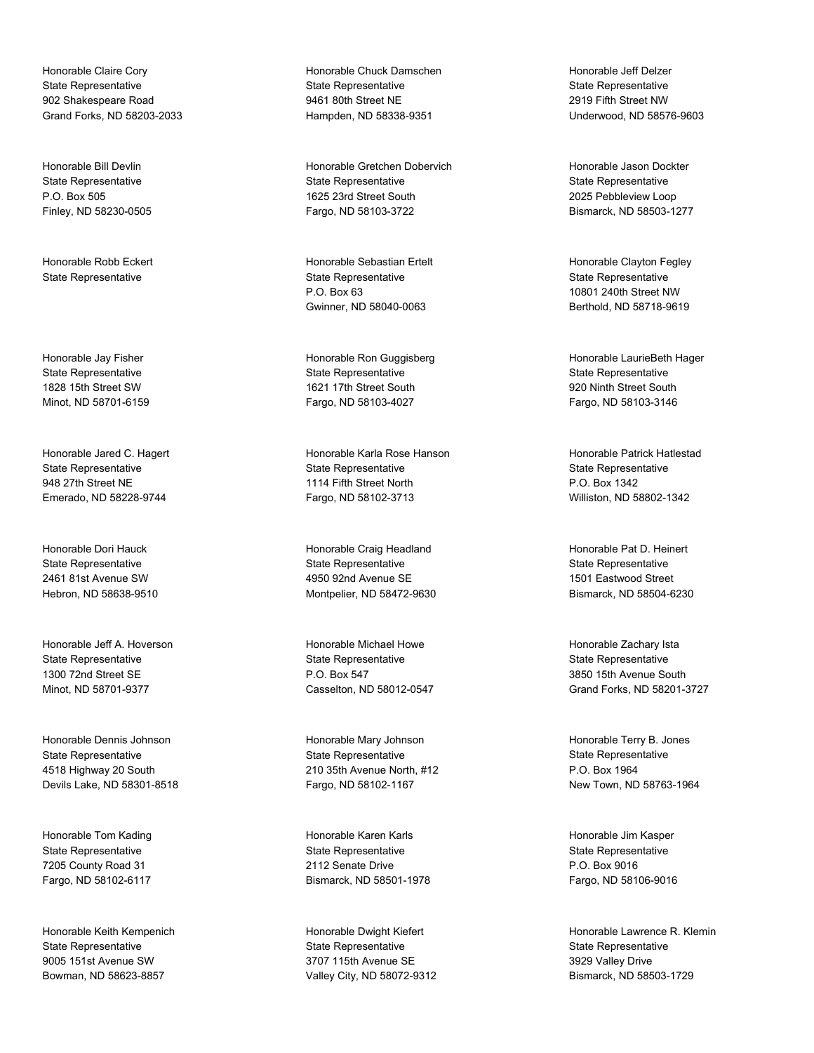Honorable Claire Cory State Representative 902 Shakespeare Road Grand Forks, ND 58203-2033

Honorable Bill Devlin State Representative P.O. Box 505 Finley, ND 58230-0505

Honorable Robb Eckert State Representative

Honorable Jay Fisher State Representative 1828 15th Street SW Minot, ND 58701-6159

Honorable Jared C. Hagert State Representative 948 27th Street NE Emerado, ND 58228-9744

Honorable Dori Hauck State Representative 2461 81st Avenue SW Hebron, ND 58638-9510

Honorable Jeff A. Hoverson State Representative 1300 72nd Street SE Minot, ND 58701-9377

Honorable Dennis Johnson State Representative 4518 Highway 20 South Devils Lake, ND 58301-8518

Honorable Tom Kading State Representative 7205 County Road 31 Fargo, ND 58102-6117

Honorable Keith Kempenich State Representative 9005 151st Avenue SW Bowman, ND 58623-8857

Honorable Chuck Damschen State Representative 9461 80th Street NE Hampden, ND 58338-9351

Honorable Gretchen Dobervich State Representative 1625 23rd Street South Fargo, ND 58103-3722

Honorable Sebastian Ertelt State Representative P.O. Box 63 Gwinner, ND 58040-0063

Honorable Ron Guggisberg State Representative 1621 17th Street South Fargo, ND 58103-4027

Honorable Karla Rose Hanson State Representative 1114 Fifth Street North Fargo, ND 58102-3713

Honorable Craig Headland State Representative 4950 92nd Avenue SE Montpelier, ND 58472-9630

Honorable Michael Howe State Representative P.O. Box 547 Casselton, ND 58012-0547

Honorable Mary Johnson State Representative 210 35th Avenue North, #12 Fargo, ND 58102-1167

Honorable Karen Karls State Representative 2112 Senate Drive Bismarck, ND 58501-1978

Honorable Dwight Kiefert State Representative 3707 115th Avenue SE Valley City, ND 58072-9312

Honorable Jeff Delzer State Representative 2919 Fifth Street NW Underwood, ND 58576-9603

Honorable Jason Dockter State Representative 2025 Pebbleview Loop Bismarck, ND 58503-1277

Honorable Clayton Fegley State Representative 10801 240th Street NW Berthold, ND 58718-9619

Honorable LaurieBeth Hager State Representative 920 Ninth Street South Fargo, ND 58103-3146

Honorable Patrick Hatlestad State Representative P.O. Box 1342 Williston, ND 58802-1342

Honorable Pat D. Heinert State Representative 1501 Eastwood Street Bismarck, ND 58504-6230

Honorable Zachary Ista State Representative 3850 15th Avenue South Grand Forks, ND 58201-3727

Honorable Terry B. Jones State Representative P.O. Box 1964 New Town, ND 58763-1964

Honorable Jim Kasper State Representative P.O. Box 9016 Fargo, ND 58106-9016

Honorable Lawrence R. Klemin State Representative 3929 Valley Drive Bismarck, ND 58503-1729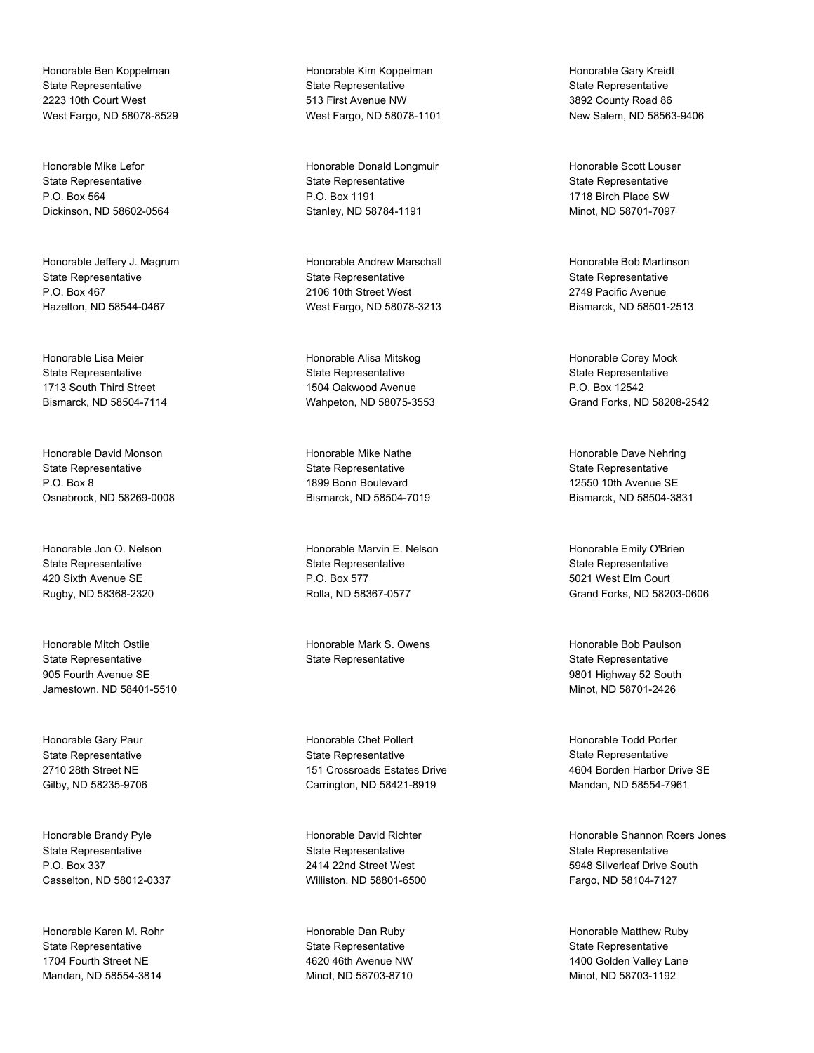Honorable Ben Koppelman State Representative 2223 10th Court West West Fargo, ND 58078-8529

Honorable Mike Lefor State Representative P.O. Box 564 Dickinson, ND 58602-0564

Honorable Jeffery J. Magrum State Representative P.O. Box 467 Hazelton, ND 58544-0467

Honorable Lisa Meier State Representative 1713 South Third Street Bismarck, ND 58504-7114

Honorable David Monson State Representative P.O. Box 8 Osnabrock, ND 58269-0008

Honorable Jon O. Nelson State Representative 420 Sixth Avenue SE Rugby, ND 58368-2320

Honorable Mitch Ostlie State Representative 905 Fourth Avenue SE Jamestown, ND 58401-5510

Honorable Gary Paur State Representative 2710 28th Street NE Gilby, ND 58235-9706

Honorable Brandy Pyle State Representative P.O. Box 337 Casselton, ND 58012-0337

Honorable Karen M. Rohr State Representative 1704 Fourth Street NE Mandan, ND 58554-3814

Honorable Kim Koppelman State Representative 513 First Avenue NW West Fargo, ND 58078-1101

Honorable Donald Longmuir State Representative P.O. Box 1191 Stanley, ND 58784-1191

Honorable Andrew Marschall State Representative 2106 10th Street West West Fargo, ND 58078-3213

Honorable Alisa Mitskog State Representative 1504 Oakwood Avenue Wahpeton, ND 58075-3553

Honorable Mike Nathe State Representative 1899 Bonn Boulevard Bismarck, ND 58504-7019

Honorable Marvin E. Nelson State Representative P.O. Box 577 Rolla, ND 58367-0577

Honorable Mark S. Owens State Representative

Honorable Chet Pollert State Representative 151 Crossroads Estates Drive Carrington, ND 58421-8919

Honorable David Richter State Representative 2414 22nd Street West Williston, ND 58801-6500

Honorable Dan Ruby State Representative 4620 46th Avenue NW Minot, ND 58703-8710

Honorable Gary Kreidt State Representative 3892 County Road 86 New Salem, ND 58563-9406

Honorable Scott Louser State Representative 1718 Birch Place SW Minot, ND 58701-7097

Honorable Bob Martinson State Representative 2749 Pacific Avenue Bismarck, ND 58501-2513

Honorable Corey Mock State Representative P.O. Box 12542 Grand Forks, ND 58208-2542

Honorable Dave Nehring State Representative 12550 10th Avenue SE Bismarck, ND 58504-3831

Honorable Emily O'Brien State Representative 5021 West Elm Court Grand Forks, ND 58203-0606

Honorable Bob Paulson State Representative 9801 Highway 52 South Minot, ND 58701-2426

Honorable Todd Porter State Representative 4604 Borden Harbor Drive SE Mandan, ND 58554-7961

Honorable Shannon Roers Jones State Representative 5948 Silverleaf Drive South Fargo, ND 58104-7127

Honorable Matthew Ruby State Representative 1400 Golden Valley Lane Minot, ND 58703-1192